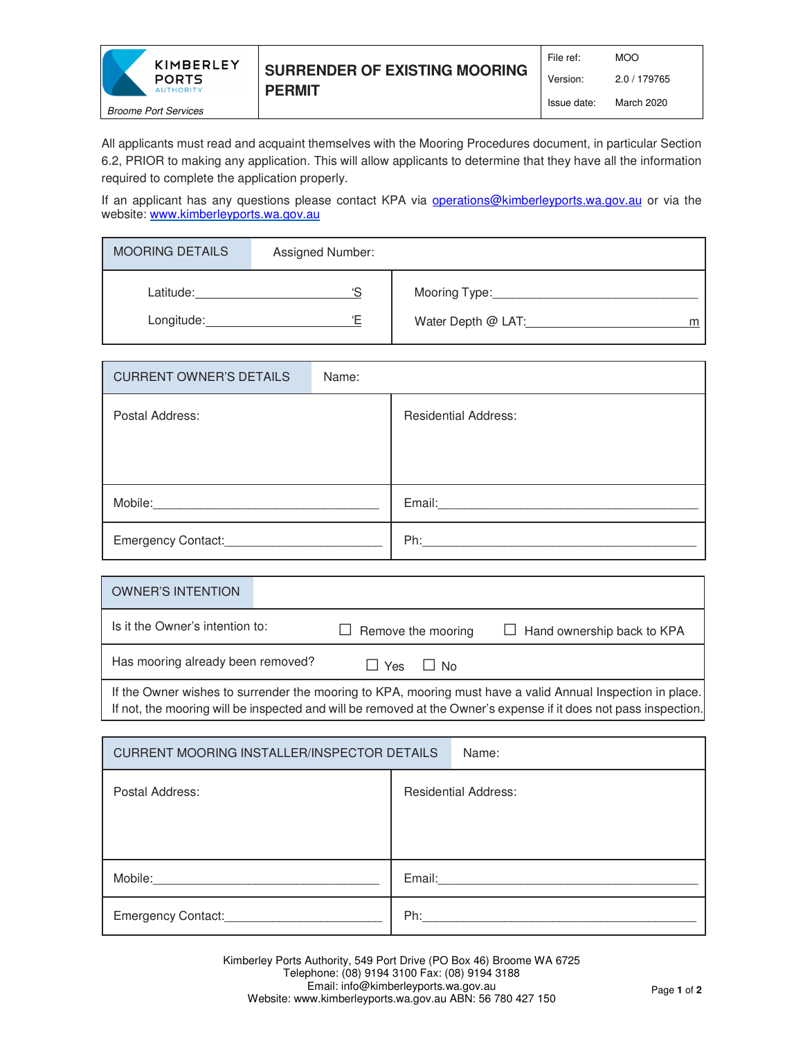

Version: 2.0 / 179765

All applicants must read and acquaint themselves with the Mooring Procedures document, in particular Section 6.2, PRIOR to making any application. This will allow applicants to determine that they have all the information required to complete the application properly.

If an applicant has any questions please contact KPA via **operations@kimberleyports.wa.gov.au** or via the website: www.kimberleyports.wa.gov.au

| <b>MOORING DETAILS</b>  | Assigned Number: |                                          |
|-------------------------|------------------|------------------------------------------|
| Latitude:<br>Longitude: | 'S<br>'Ε         | Mooring Type:<br>Water Depth @ LAT:<br>m |

| <b>CURRENT OWNER'S DETAILS</b>     | Name: |                             |
|------------------------------------|-------|-----------------------------|
| Postal Address:                    |       | <b>Residential Address:</b> |
|                                    |       |                             |
|                                    |       |                             |
| Mobile:                            |       | Email: Email:               |
| Emergency Contact: Campus Contact: |       | Ph:                         |

| <b>OWNER'S INTENTION</b>                                                                                                                                                                                                       |                            |                                   |  |  |  |
|--------------------------------------------------------------------------------------------------------------------------------------------------------------------------------------------------------------------------------|----------------------------|-----------------------------------|--|--|--|
| Is it the Owner's intention to:                                                                                                                                                                                                | $\Box$ Remove the mooring  | $\Box$ Hand ownership back to KPA |  |  |  |
| Has mooring already been removed?                                                                                                                                                                                              | l l Yes<br>$\mathsf{I}$ No |                                   |  |  |  |
| If the Owner wishes to surrender the mooring to KPA, mooring must have a valid Annual Inspection in place.<br>If not, the mooring will be inspected and will be removed at the Owner's expense if it does not pass inspection. |                            |                                   |  |  |  |

| CURRENT MOORING INSTALLER/INSPECTOR DETAILS | Name:                       |  |  |  |
|---------------------------------------------|-----------------------------|--|--|--|
| Postal Address:                             | <b>Residential Address:</b> |  |  |  |
| Mobile:                                     | Email: <b>Email</b>         |  |  |  |
| Emergency Contact:_______________           | Ph:                         |  |  |  |